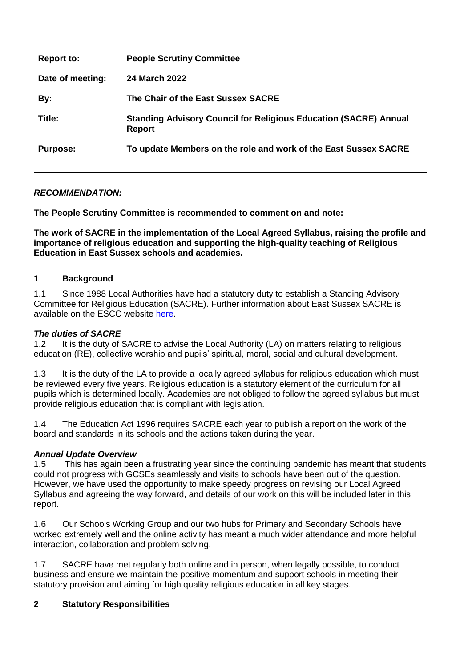| <b>Report to:</b> | <b>People Scrutiny Committee</b>                                                         |
|-------------------|------------------------------------------------------------------------------------------|
| Date of meeting:  | 24 March 2022                                                                            |
| By:               | The Chair of the East Sussex SACRE                                                       |
| Title:            | <b>Standing Advisory Council for Religious Education (SACRE) Annual</b><br><b>Report</b> |
| <b>Purpose:</b>   | To update Members on the role and work of the East Sussex SACRE                          |

## *RECOMMENDATION:*

**The People Scrutiny Committee is recommended to comment on and note:**

**The work of SACRE in the implementation of the Local Agreed Syllabus, raising the profile and importance of religious education and supporting the high-quality teaching of Religious Education in East Sussex schools and academies.**

### **1 Background**

1.1 Since 1988 Local Authorities have had a statutory duty to establish a Standing Advisory Committee for Religious Education (SACRE). Further information about East Sussex SACRE is available on the ESCC website [here.](https://democracy.eastsussex.gov.uk/mgCommitteeDetails.aspx?ID=163)

### *The duties of SACRE*

1.2 It is the duty of SACRE to advise the Local Authority (LA) on matters relating to religious education (RE), collective worship and pupils' spiritual, moral, social and cultural development.

1.3 It is the duty of the LA to provide a locally agreed syllabus for religious education which must be reviewed every five years. Religious education is a statutory element of the curriculum for all pupils which is determined locally. Academies are not obliged to follow the agreed syllabus but must provide religious education that is compliant with legislation.

1.4 The Education Act 1996 requires SACRE each year to publish a report on the work of the board and standards in its schools and the actions taken during the year.

## *Annual Update Overview*

1.5 This has again been a frustrating year since the continuing pandemic has meant that students could not progress with GCSEs seamlessly and visits to schools have been out of the question. However, we have used the opportunity to make speedy progress on revising our Local Agreed Syllabus and agreeing the way forward, and details of our work on this will be included later in this report.

1.6 Our Schools Working Group and our two hubs for Primary and Secondary Schools have worked extremely well and the online activity has meant a much wider attendance and more helpful interaction, collaboration and problem solving.

1.7 SACRE have met regularly both online and in person, when legally possible, to conduct business and ensure we maintain the positive momentum and support schools in meeting their statutory provision and aiming for high quality religious education in all key stages.

## **2 Statutory Responsibilities**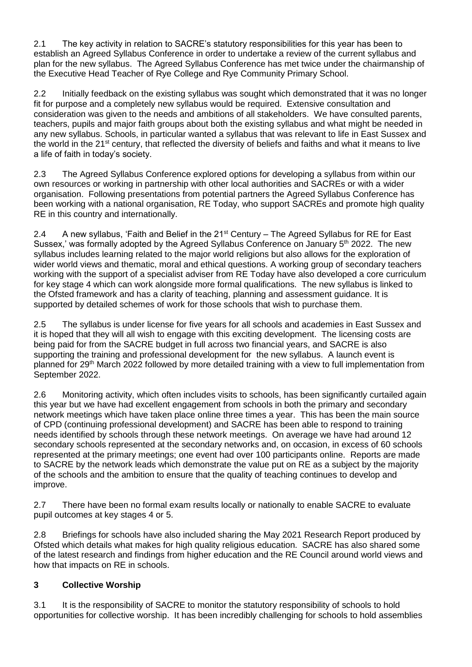2.1 The key activity in relation to SACRE's statutory responsibilities for this year has been to establish an Agreed Syllabus Conference in order to undertake a review of the current syllabus and plan for the new syllabus. The Agreed Syllabus Conference has met twice under the chairmanship of the Executive Head Teacher of Rye College and Rye Community Primary School.

2.2 Initially feedback on the existing syllabus was sought which demonstrated that it was no longer fit for purpose and a completely new syllabus would be required. Extensive consultation and consideration was given to the needs and ambitions of all stakeholders. We have consulted parents, teachers, pupils and major faith groups about both the existing syllabus and what might be needed in any new syllabus. Schools, in particular wanted a syllabus that was relevant to life in East Sussex and the world in the 21<sup>st</sup> century, that reflected the diversity of beliefs and faiths and what it means to live a life of faith in today's society.

2.3 The Agreed Syllabus Conference explored options for developing a syllabus from within our own resources or working in partnership with other local authorities and SACREs or with a wider organisation. Following presentations from potential partners the Agreed Syllabus Conference has been working with a national organisation, RE Today, who support SACREs and promote high quality RE in this country and internationally.

2.4 A new syllabus, 'Faith and Belief in the  $21<sup>st</sup>$  Century – The Agreed Syllabus for RE for East Sussex,' was formally adopted by the Agreed Syllabus Conference on January 5<sup>th</sup> 2022. The new syllabus includes learning related to the major world religions but also allows for the exploration of wider world views and thematic, moral and ethical questions. A working group of secondary teachers working with the support of a specialist adviser from RE Today have also developed a core curriculum for key stage 4 which can work alongside more formal qualifications. The new syllabus is linked to the Ofsted framework and has a clarity of teaching, planning and assessment guidance. It is supported by detailed schemes of work for those schools that wish to purchase them.

2.5 The syllabus is under license for five years for all schools and academies in East Sussex and it is hoped that they will all wish to engage with this exciting development. The licensing costs are being paid for from the SACRE budget in full across two financial years, and SACRE is also supporting the training and professional development for the new syllabus. A launch event is planned for 29th March 2022 followed by more detailed training with a view to full implementation from September 2022.

2.6 Monitoring activity, which often includes visits to schools, has been significantly curtailed again this year but we have had excellent engagement from schools in both the primary and secondary network meetings which have taken place online three times a year. This has been the main source of CPD (continuing professional development) and SACRE has been able to respond to training needs identified by schools through these network meetings. On average we have had around 12 secondary schools represented at the secondary networks and, on occasion, in excess of 60 schools represented at the primary meetings; one event had over 100 participants online. Reports are made to SACRE by the network leads which demonstrate the value put on RE as a subject by the majority of the schools and the ambition to ensure that the quality of teaching continues to develop and improve.

2.7 There have been no formal exam results locally or nationally to enable SACRE to evaluate pupil outcomes at key stages 4 or 5.

2.8 Briefings for schools have also included sharing the May 2021 Research Report produced by Ofsted which details what makes for high quality religious education. SACRE has also shared some of the latest research and findings from higher education and the RE Council around world views and how that impacts on RE in schools.

# **3 Collective Worship**

3.1 It is the responsibility of SACRE to monitor the statutory responsibility of schools to hold opportunities for collective worship. It has been incredibly challenging for schools to hold assemblies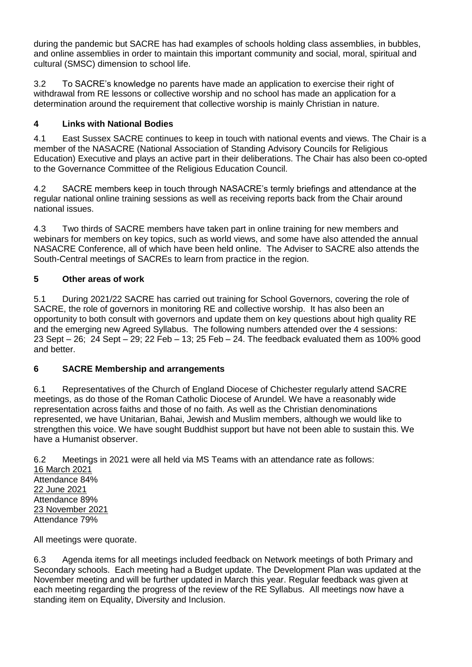during the pandemic but SACRE has had examples of schools holding class assemblies, in bubbles, and online assemblies in order to maintain this important community and social, moral, spiritual and cultural (SMSC) dimension to school life.

3.2 To SACRE's knowledge no parents have made an application to exercise their right of withdrawal from RE lessons or collective worship and no school has made an application for a determination around the requirement that collective worship is mainly Christian in nature.

# **4 Links with National Bodies**

4.1 East Sussex SACRE continues to keep in touch with national events and views. The Chair is a member of the NASACRE (National Association of Standing Advisory Councils for Religious Education) Executive and plays an active part in their deliberations. The Chair has also been co-opted to the Governance Committee of the Religious Education Council.

4.2 SACRE members keep in touch through NASACRE's termly briefings and attendance at the regular national online training sessions as well as receiving reports back from the Chair around national issues.

4.3 Two thirds of SACRE members have taken part in online training for new members and webinars for members on key topics, such as world views, and some have also attended the annual NASACRE Conference, all of which have been held online. The Adviser to SACRE also attends the South-Central meetings of SACREs to learn from practice in the region.

# **5 Other areas of work**

5.1 During 2021/22 SACRE has carried out training for School Governors, covering the role of SACRE, the role of governors in monitoring RE and collective worship. It has also been an opportunity to both consult with governors and update them on key questions about high quality RE and the emerging new Agreed Syllabus. The following numbers attended over the 4 sessions: 23 Sept  $-$  26; 24 Sept  $-$  29; 22 Feb  $-$  13; 25 Feb  $-$  24. The feedback evaluated them as 100% good and better.

## **6 SACRE Membership and arrangements**

6.1 Representatives of the Church of England Diocese of Chichester regularly attend SACRE meetings, as do those of the Roman Catholic Diocese of Arundel. We have a reasonably wide representation across faiths and those of no faith. As well as the Christian denominations represented, we have Unitarian, Bahai, Jewish and Muslim members, although we would like to strengthen this voice. We have sought Buddhist support but have not been able to sustain this. We have a Humanist observer.

6.2 Meetings in 2021 were all held via MS Teams with an attendance rate as follows: 16 March 2021 Attendance 84% 22 June 2021 Attendance 89%

All meetings were quorate.

23 November 2021 Attendance 79%

6.3 Agenda items for all meetings included feedback on Network meetings of both Primary and Secondary schools. Each meeting had a Budget update. The Development Plan was updated at the November meeting and will be further updated in March this year. Regular feedback was given at each meeting regarding the progress of the review of the RE Syllabus. All meetings now have a standing item on Equality, Diversity and Inclusion.